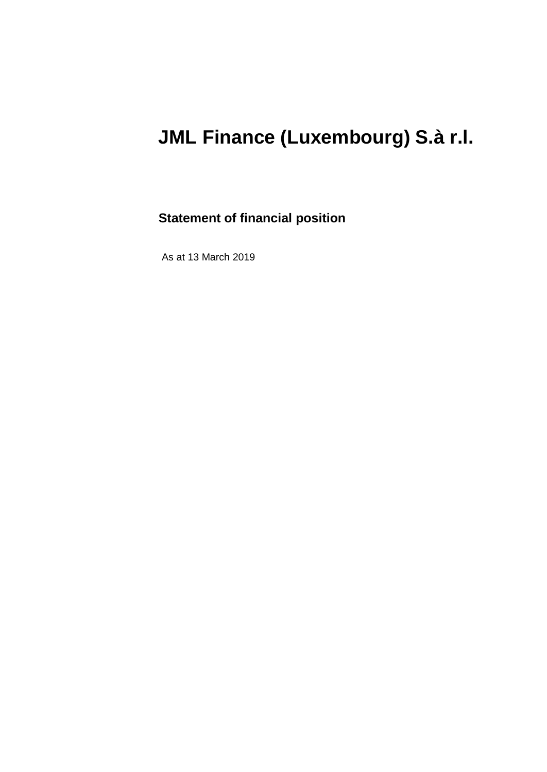### **Statement of financial position**

As at 13 March 2019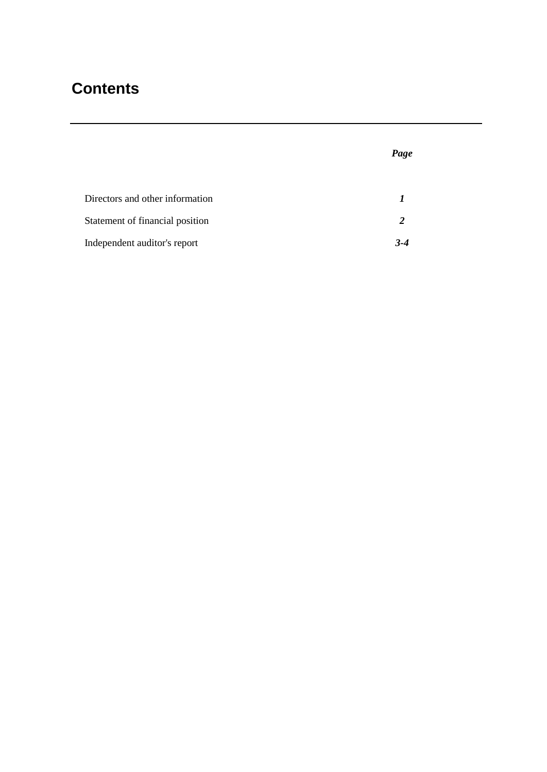### **Contents**

Directors and other information *1* Statement of financial position **2** Independent auditor's report *3-4*

*Page*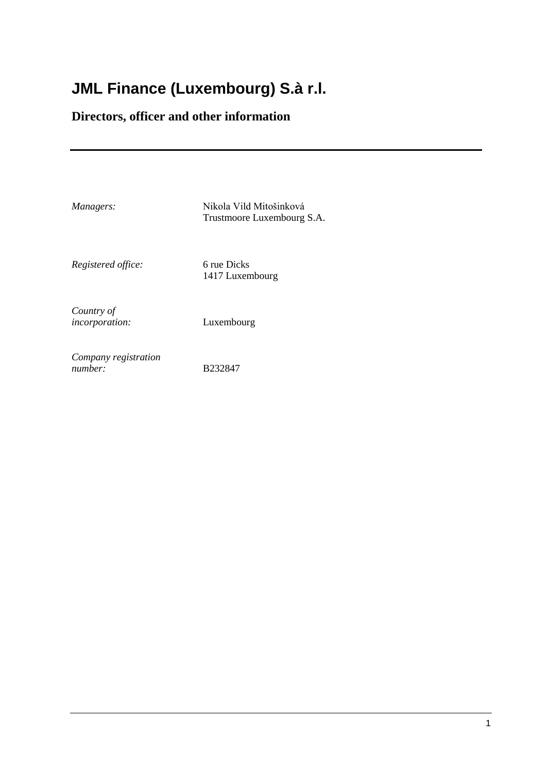### **Directors, officer and other information**

*Managers:* Nikola Vild Mitošinková Trustmoore Luxembourg S.A.

*Registered office:* 6 rue Dicks

1417 Luxembourg

*Country of incorporation:* Luxembourg

*number:* B232847

*Company registration* 

1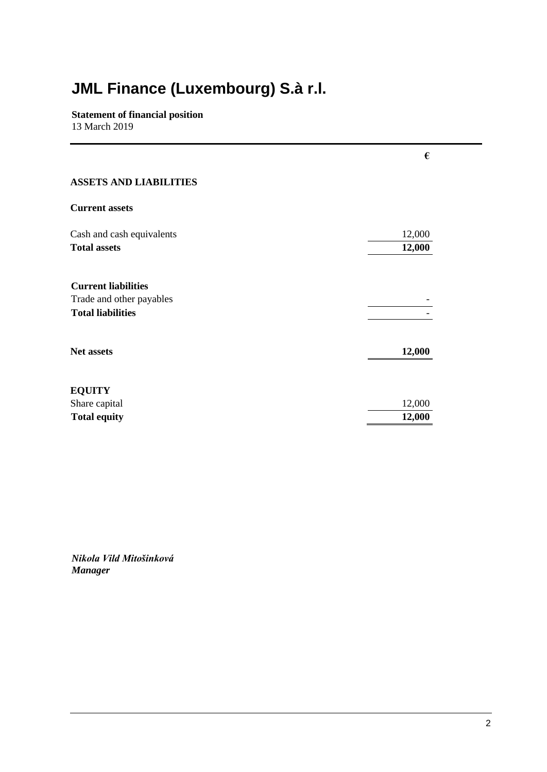**Statement of financial position** 13 March 2019

|                                                                                    | €                |
|------------------------------------------------------------------------------------|------------------|
| <b>ASSETS AND LIABILITIES</b>                                                      |                  |
| <b>Current assets</b>                                                              |                  |
| Cash and cash equivalents<br><b>Total assets</b>                                   | 12,000<br>12,000 |
| <b>Current liabilities</b><br>Trade and other payables<br><b>Total liabilities</b> |                  |
| <b>Net assets</b>                                                                  | 12,000           |
| <b>EQUITY</b><br>Share capital<br><b>Total equity</b>                              | 12,000<br>12,000 |

*Nikola Vild Mitošinková Manager*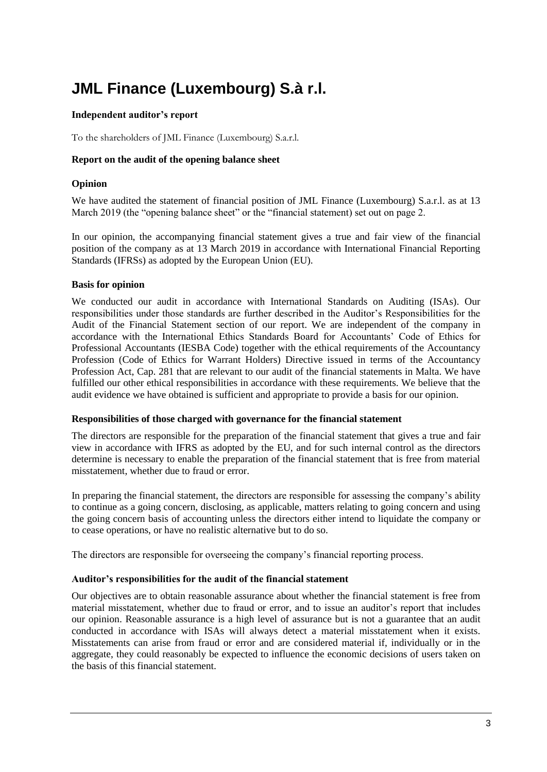#### **Independent auditor's report**

To the shareholders of JML Finance (Luxembourg) S.a.r.l.

#### **Report on the audit of the opening balance sheet**

#### **Opinion**

We have audited the statement of financial position of JML Finance (Luxembourg) S.a.r.l. as at 13 March 2019 (the "opening balance sheet" or the "financial statement) set out on page 2.

In our opinion, the accompanying financial statement gives a true and fair view of the financial position of the company as at 13 March 2019 in accordance with International Financial Reporting Standards (IFRSs) as adopted by the European Union (EU).

#### **Basis for opinion**

We conducted our audit in accordance with International Standards on Auditing (ISAs). Our responsibilities under those standards are further described in the Auditor's Responsibilities for the Audit of the Financial Statement section of our report. We are independent of the company in accordance with the International Ethics Standards Board for Accountants' Code of Ethics for Professional Accountants (IESBA Code) together with the ethical requirements of the Accountancy Profession (Code of Ethics for Warrant Holders) Directive issued in terms of the Accountancy Profession Act, Cap. 281 that are relevant to our audit of the financial statements in Malta. We have fulfilled our other ethical responsibilities in accordance with these requirements. We believe that the audit evidence we have obtained is sufficient and appropriate to provide a basis for our opinion.

#### **Responsibilities of those charged with governance for the financial statement**

The directors are responsible for the preparation of the financial statement that gives a true and fair view in accordance with IFRS as adopted by the EU, and for such internal control as the directors determine is necessary to enable the preparation of the financial statement that is free from material misstatement, whether due to fraud or error.

In preparing the financial statement, the directors are responsible for assessing the company's ability to continue as a going concern, disclosing, as applicable, matters relating to going concern and using the going concern basis of accounting unless the directors either intend to liquidate the company or to cease operations, or have no realistic alternative but to do so.

The directors are responsible for overseeing the company's financial reporting process.

#### **Auditor's responsibilities for the audit of the financial statement**

Our objectives are to obtain reasonable assurance about whether the financial statement is free from material misstatement, whether due to fraud or error, and to issue an auditor's report that includes our opinion. Reasonable assurance is a high level of assurance but is not a guarantee that an audit conducted in accordance with ISAs will always detect a material misstatement when it exists. Misstatements can arise from fraud or error and are considered material if, individually or in the aggregate, they could reasonably be expected to influence the economic decisions of users taken on the basis of this financial statement.